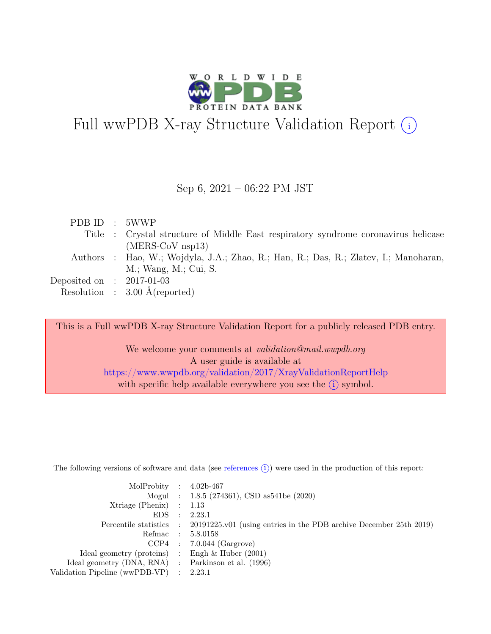

# Full wwPDB X-ray Structure Validation Report  $(i)$

#### Sep 6, 2021 – 06:22 PM JST

|  | PDB ID : 5WWP                                                                        |
|--|--------------------------------------------------------------------------------------|
|  | Title : Crystal structure of Middle East respiratory syndrome coronavirus helicase   |
|  | $(MERS-CoV$ nsp13)                                                                   |
|  | Authors : Hao, W.; Wojdyla, J.A.; Zhao, R.; Han, R.; Das, R.; Zlatev, I.; Manoharan, |
|  | M.; Wang, M.; Cui, S.                                                                |
|  | Deposited on : $2017-01-03$                                                          |
|  | Resolution : $3.00 \text{ Å}$ (reported)                                             |

This is a Full wwPDB X-ray Structure Validation Report for a publicly released PDB entry.

We welcome your comments at validation@mail.wwpdb.org A user guide is available at <https://www.wwpdb.org/validation/2017/XrayValidationReportHelp> with specific help available everywhere you see the  $(i)$  symbol.

The following versions of software and data (see [references](https://www.wwpdb.org/validation/2017/XrayValidationReportHelp#references)  $(i)$ ) were used in the production of this report:

| MolProbity : $4.02b-467$                            |           |                                                                                            |
|-----------------------------------------------------|-----------|--------------------------------------------------------------------------------------------|
|                                                     |           | Mogul : $1.8.5$ (274361), CSD as 541be (2020)                                              |
| $Xtriangle (Phenix)$ : 1.13                         |           |                                                                                            |
| EDS                                                 | $\cdot$ : | 2.23.1                                                                                     |
|                                                     |           | Percentile statistics : 20191225.v01 (using entries in the PDB archive December 25th 2019) |
| Refmac : 5.8.0158                                   |           |                                                                                            |
|                                                     |           | $CCP4$ : 7.0.044 (Gargrove)                                                                |
| Ideal geometry (proteins) : Engh $\&$ Huber (2001)  |           |                                                                                            |
| Ideal geometry (DNA, RNA) : Parkinson et al. (1996) |           |                                                                                            |
| Validation Pipeline (wwPDB-VP) : $2.23.1$           |           |                                                                                            |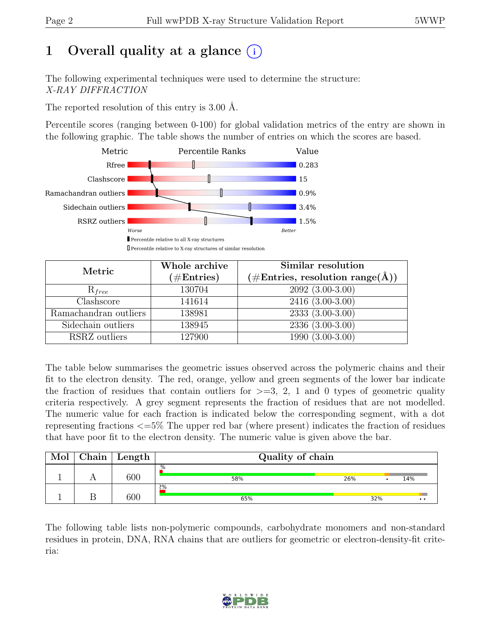# 1 Overall quality at a glance  $(i)$

The following experimental techniques were used to determine the structure: X-RAY DIFFRACTION

The reported resolution of this entry is 3.00 Å.

Percentile scores (ranging between 0-100) for global validation metrics of the entry are shown in the following graphic. The table shows the number of entries on which the scores are based.



| Metric                          | Whole archive<br>$(\#Entries)$ | Similar resolution<br>$(\# \text{Entries}, \text{ resolution } \text{range}(\AA))$ |
|---------------------------------|--------------------------------|------------------------------------------------------------------------------------|
| $R_{free}$                      | 130704                         | $2092(3.00-3.00)$                                                                  |
| $\overline{\text{Cl}}$ ashscore | 141614                         | $\overline{2416}$ $\overline{(3.00-3.00)}$                                         |
| Ramachandran outliers           | 138981                         | $2333(3.00-3.00)$                                                                  |
| Sidechain outliers              | 138945                         | $2336(3.00-3.00)$                                                                  |
| RSRZ outliers                   | 127900                         | $\overline{1990}$ $(\overline{3.00} - 3.00)$                                       |

The table below summarises the geometric issues observed across the polymeric chains and their fit to the electron density. The red, orange, yellow and green segments of the lower bar indicate the fraction of residues that contain outliers for  $>=$  3, 2, 1 and 0 types of geometric quality criteria respectively. A grey segment represents the fraction of residues that are not modelled. The numeric value for each fraction is indicated below the corresponding segment, with a dot representing fractions <=5% The upper red bar (where present) indicates the fraction of residues that have poor fit to the electron density. The numeric value is given above the bar.

| Mol | Chain | Length | Quality of chain |     |     |                  |  |
|-----|-------|--------|------------------|-----|-----|------------------|--|
|     |       | 600    | .%<br>58%        | 26% |     | 14%              |  |
|     |       | 600    | 2%<br>65%        |     | 32% | $\bullet\bullet$ |  |

The following table lists non-polymeric compounds, carbohydrate monomers and non-standard residues in protein, DNA, RNA chains that are outliers for geometric or electron-density-fit criteria:

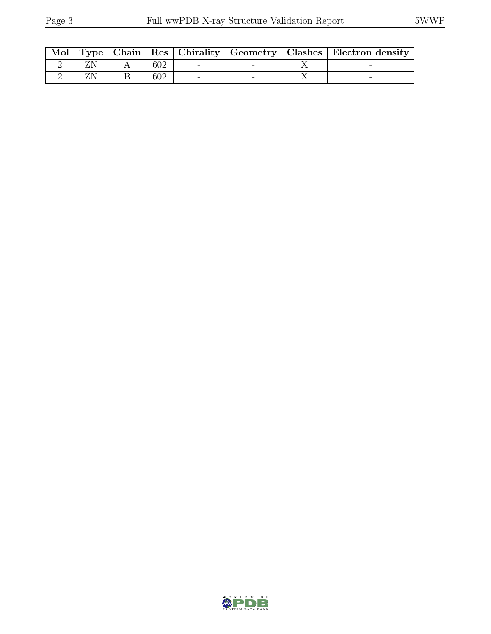| Mol |  |     |  | Type   Chain   Res   Chirality   Geometry   Clashes   Electron density |
|-----|--|-----|--|------------------------------------------------------------------------|
|     |  | 602 |  |                                                                        |
|     |  | 602 |  |                                                                        |

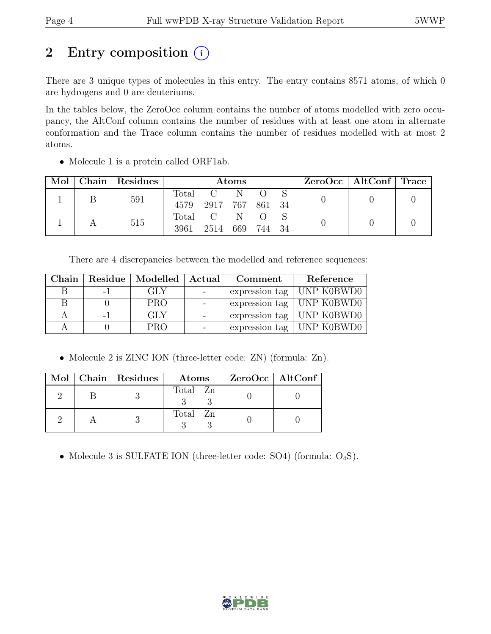# 2 Entry composition  $(i)$

There are 3 unique types of molecules in this entry. The entry contains 8571 atoms, of which 0 are hydrogens and 0 are deuteriums.

In the tables below, the ZeroOcc column contains the number of atoms modelled with zero occupancy, the AltConf column contains the number of residues with at least one atom in alternate conformation and the Trace column contains the number of residues modelled with at most 2 atoms.

| Mol | Chain Residues | <b>Atoms</b> |                 |     |     | $ZeroOcc \mid AltConf \mid Trace$ |  |  |
|-----|----------------|--------------|-----------------|-----|-----|-----------------------------------|--|--|
|     | 591            | Total        | C N             |     |     |                                   |  |  |
|     |                | 4579         | 2917 767 861 34 |     |     |                                   |  |  |
|     | 515            | Total        | $C-N$           |     |     |                                   |  |  |
|     |                | 3961         | 2514            | 669 | 744 | -34                               |  |  |

• Molecule 1 is a protein called ORF1ab.

There are 4 discrepancies between the modelled and reference sequences:

| Chain | Residue   Modelled   Actual | Comment | Reference                         |
|-------|-----------------------------|---------|-----------------------------------|
|       | GLY                         |         | expression tag $\vert$ UNP K0BWD0 |
| Н     | <b>PRO</b>                  |         | expression tag   UNP K0BWD0       |
|       | GLY                         |         | expression tag   UNP K0BWD0       |
|       | PRO                         |         | expression tag   UNP K0BWD0       |

• Molecule 2 is ZINC ION (three-letter code: ZN) (formula: Zn).

|  | Mol   Chain   Residues | Atoms    | ZeroOcc   AltConf |  |
|--|------------------------|----------|-------------------|--|
|  |                        | Total Zn |                   |  |
|  |                        | Total Zn |                   |  |

• Molecule 3 is SULFATE ION (three-letter code: SO4) (formula:  $O_4S$ ).

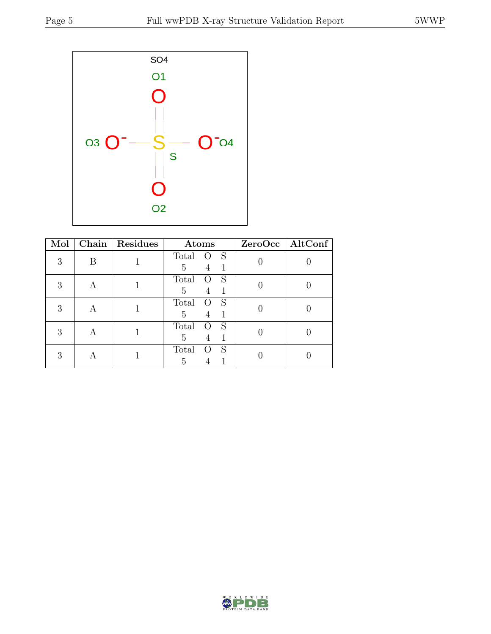

| Mol |   | Chain   Residues | Atoms                                      | $ZeroOcc$ $\boxed{\text{AltConf}}$ |
|-----|---|------------------|--------------------------------------------|------------------------------------|
| 3   | В |                  | Total<br>S<br>Ő<br>5<br>4                  |                                    |
| 3   | А |                  | Total<br>S<br>$\left( \ \right)$<br>5<br>4 |                                    |
| 3   |   |                  | Total<br>S<br>$\left( \right)$<br>5<br>4   |                                    |
| 3   |   |                  | Total<br>S<br>5<br>4                       |                                    |
| 3   |   |                  | Total<br>S<br>5                            |                                    |

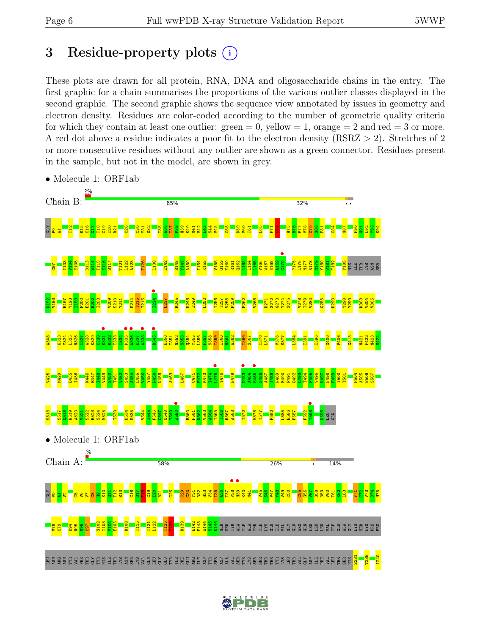# 3 Residue-property plots  $(i)$

These plots are drawn for all protein, RNA, DNA and oligosaccharide chains in the entry. The first graphic for a chain summarises the proportions of the various outlier classes displayed in the second graphic. The second graphic shows the sequence view annotated by issues in geometry and electron density. Residues are color-coded according to the number of geometric quality criteria for which they contain at least one outlier:  $green = 0$ , yellow  $= 1$ , orange  $= 2$  and red  $= 3$  or more. A red dot above a residue indicates a poor fit to the electron density (RSRZ > 2). Stretches of 2 or more consecutive residues without any outlier are shown as a green connector. Residues present in the sample, but not in the model, are shown in grey.



• Molecule 1: ORF1ab

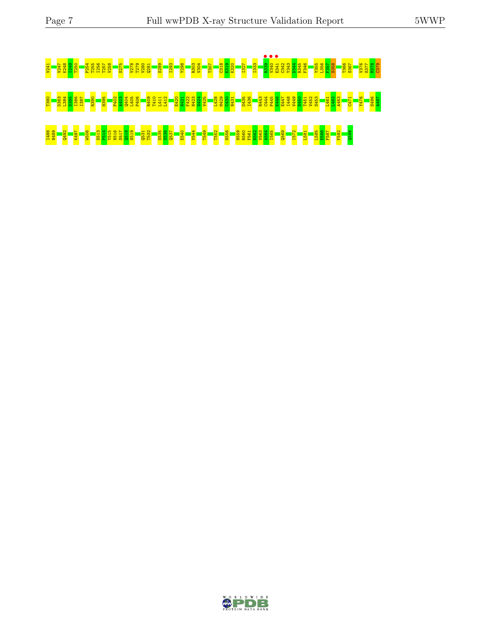# <u>, senara a senara de la programa de la programa de la programa de la programa de la programa de la programa<br>2003: Constitución de la programa de la programa de la programa de la programa de la programa de la programa<br>200</u> .<br>8 - 8 3 8 8 8 - 8 - 8 - 8 9 8 3 9 8 - 8 2 1 1 - 8 5 8 8 8 - 8 8 8 8 - 8 8 - 9 3 4 9 9 5 9 8 5 8 6 - 7 - 8 - 8 <br>8 - 8 3 8 8 8 - 8 - 8 - 8 9 3 3 9 8 - 8 2 1 1 - 8 5 8 8 6 - 8 8 8 5 - 8 8 - 9 4 9 9 5 9 6 5 6 7 - 8 6 7 - 8 I488 N489 Q492 K497 W506 S513 P514 Y515 N516 S517 Q518 N519 Q531 T532 S535 S536 Q537 E540 V544 T549 T552 N556 N559 R560 F561 N562 V563 A564 I565 Q569 I572 L581 L585 E586 F587 F592 Q598

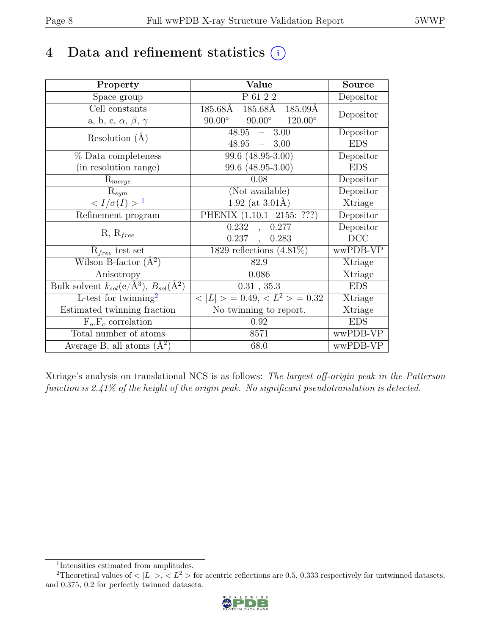# 4 Data and refinement statistics  $(i)$

| Property                                                             | Value                                            | Source     |
|----------------------------------------------------------------------|--------------------------------------------------|------------|
| Space group                                                          | P 61 2 2                                         | Depositor  |
| Cell constants                                                       | $185.68\text{\AA}$<br>185.68Å<br>185.09Å         |            |
| a, b, c, $\alpha$ , $\beta$ , $\gamma$                               | $90.00^\circ$<br>$90.00^\circ$<br>$120.00^\circ$ | Depositor  |
| Resolution $(A)$                                                     | $48.95 =$<br>3.00                                | Depositor  |
|                                                                      | 48.95<br>$-3.00$                                 | <b>EDS</b> |
| % Data completeness                                                  | 99.6 (48.95-3.00)                                | Depositor  |
| (in resolution range)                                                | 99.6 (48.95-3.00)                                | <b>EDS</b> |
| $R_{merge}$                                                          | 0.08                                             | Depositor  |
| $\mathrm{R}_{sym}$                                                   | (Not available)                                  | Depositor  |
| $\langle I/\sigma(I) \rangle$ <sup>1</sup>                           | $1.92$ (at 3.01Å)                                | Xtriage    |
| Refinement program                                                   | PHENIX $(1.10.1 \t 2155: ???)$                   | Depositor  |
|                                                                      | 0.232<br>0.277<br>$\ddot{\phantom{0}}$           | Depositor  |
| $R, R_{free}$                                                        | $0.237$ ,<br>0.283                               | DCC        |
| $R_{free}$ test set                                                  | 1829 reflections $(4.81\%)$                      | wwPDB-VP   |
| Wilson B-factor $(A^2)$                                              | 82.9                                             | Xtriage    |
| Anisotropy                                                           | 0.086                                            | Xtriage    |
| Bulk solvent $k_{sol}(e/\mathring{A}^3)$ , $B_{sol}(\mathring{A}^2)$ | 0.31, 35.3                                       | <b>EDS</b> |
| L-test for $\mathrm{twinning}^2$                                     | $< L >$ = 0.49, $< L^2 >$ = 0.32                 | Xtriage    |
| Estimated twinning fraction                                          | No twinning to report.                           | Xtriage    |
| $\overline{F_o,F_c}$ correlation                                     | 0.92                                             | <b>EDS</b> |
| Total number of atoms                                                | 8571                                             | wwPDB-VP   |
| Average B, all atoms $(A^2)$                                         | 68.0                                             | wwPDB-VP   |

Xtriage's analysis on translational NCS is as follows: The largest off-origin peak in the Patterson function is 2.41% of the height of the origin peak. No significant pseudotranslation is detected.

<sup>&</sup>lt;sup>2</sup>Theoretical values of  $\langle |L| \rangle$ ,  $\langle L^2 \rangle$  for acentric reflections are 0.5, 0.333 respectively for untwinned datasets, and 0.375, 0.2 for perfectly twinned datasets.



<span id="page-7-1"></span><span id="page-7-0"></span><sup>1</sup> Intensities estimated from amplitudes.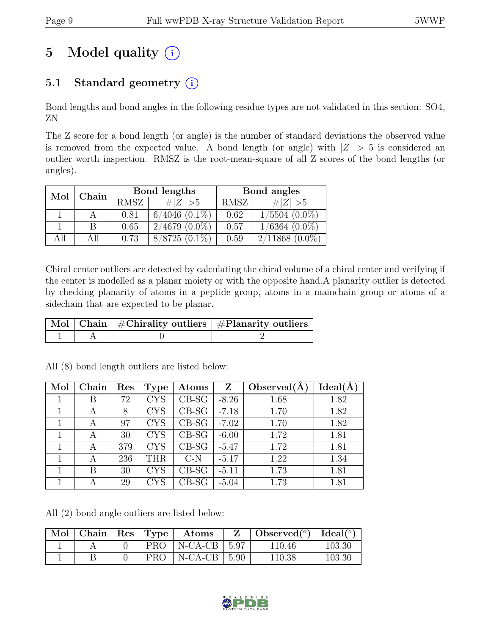# 5 Model quality  $(i)$

## 5.1 Standard geometry  $(i)$

Bond lengths and bond angles in the following residue types are not validated in this section: SO4, ZN

The Z score for a bond length (or angle) is the number of standard deviations the observed value is removed from the expected value. A bond length (or angle) with  $|Z| > 5$  is considered an outlier worth inspection. RMSZ is the root-mean-square of all Z scores of the bond lengths (or angles).

| Mol | Chain |      | Bond lengths       | Bond angles |                    |  |
|-----|-------|------|--------------------|-------------|--------------------|--|
|     |       | RMSZ | # $ Z  > 5$        | RMSZ        | # $ Z  > 5$        |  |
|     |       | 0.81 | $6/4046$ $(0.1\%)$ | 0.62        | $1/5504~(0.0\%)$   |  |
|     |       | 0.65 | $2/4679(0.0\%)$    | 0.57        | $1/6364$ $(0.0\%)$ |  |
| All | All   | 0.73 | $8/8725(0.1\%)$    | 0.59        | $2/11868(0.0\%)$   |  |

Chiral center outliers are detected by calculating the chiral volume of a chiral center and verifying if the center is modelled as a planar moiety or with the opposite hand.A planarity outlier is detected by checking planarity of atoms in a peptide group, atoms in a mainchain group or atoms of a sidechain that are expected to be planar.

|  | $\mid$ Mol $\mid$ Chain $\mid$ #Chirality outliers $\mid$ #Planarity outliers $\mid$ |
|--|--------------------------------------------------------------------------------------|
|  |                                                                                      |

| Mol | Chain | Res | <b>Type</b> | Atoms                  | Z       | Observed $(A)$ | Ideal(A |
|-----|-------|-----|-------------|------------------------|---------|----------------|---------|
|     | В     | 72  | <b>CYS</b>  | $CB-SG$                | $-8.26$ | 1.68           | 1.82    |
|     | А     | 8   | <b>CYS</b>  | $CB-SG$                | $-7.18$ | 1.70           | 1.82    |
|     | A     | 97  | <b>CYS</b>  | $CB-SG$                | $-7.02$ | 1.70           | 1.82    |
|     | А     | 30  | <b>CYS</b>  | $CB-SG$                | $-6.00$ | 1.72           | 1.81    |
|     | A     | 379 | <b>CYS</b>  | $CB-SG$                | $-5.47$ | 1.72           | 1.81    |
|     | A     | 236 | THR         | C-N                    | $-5.17$ | 1.22           | 1.34    |
|     | В     | 30  | <b>CYS</b>  | $\operatorname{CB-SG}$ | $-5.11$ | 1.73           | 1.81    |
|     | А     | 29  | CYS         | CB-SG                  | $-5.04$ | 1.73           | 1.81    |

All (8) bond length outliers are listed below:

All (2) bond angle outliers are listed below:

| $\mathbf{Mol}$   Chain   Res   Type |     | $\rm{Atoms}$          | $\mathbf{Z}$ | $\vert$ Observed $\vert$ <sup>o</sup> ) $\vert$ Ideal $\vert$ <sup>o</sup> ) |        |
|-------------------------------------|-----|-----------------------|--------------|------------------------------------------------------------------------------|--------|
|                                     | PRO | $\mid$ N-CA-CB $\mid$ | 5.97         | 110.46                                                                       | 103.30 |
|                                     | PRO | $N-CA-CB$             | 5.90         | 110.38                                                                       | 103.30 |

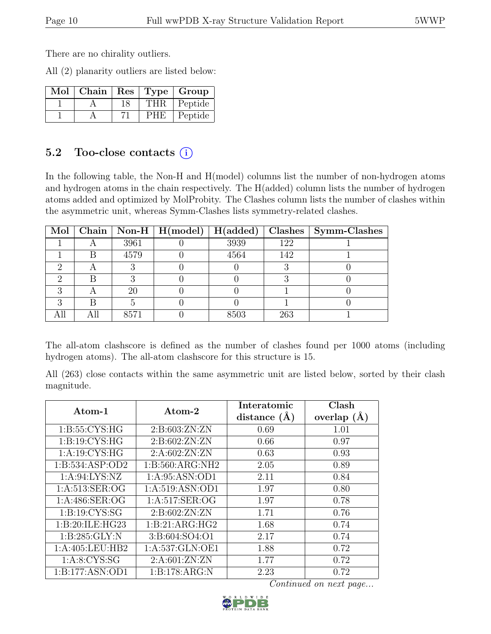There are no chirality outliers.

All (2) planarity outliers are listed below:

| $\overline{\text{Mol}}$ Chain   Res   Type   Group |    |            |         |
|----------------------------------------------------|----|------------|---------|
|                                                    | 18 | <b>THR</b> | Peptide |
|                                                    |    | <b>PHE</b> | Peptide |

#### 5.2 Too-close contacts  $(i)$

In the following table, the Non-H and H(model) columns list the number of non-hydrogen atoms and hydrogen atoms in the chain respectively. The H(added) column lists the number of hydrogen atoms added and optimized by MolProbity. The Clashes column lists the number of clashes within the asymmetric unit, whereas Symm-Clashes lists symmetry-related clashes.

|   |     |      | Mol   Chain   Non-H   H(model) | H(added) |     | Clashes   Symm-Clashes |
|---|-----|------|--------------------------------|----------|-----|------------------------|
|   |     | 3961 |                                | 3939     | 122 |                        |
|   | B   | 4579 |                                | 4564     | 142 |                        |
|   |     |      |                                |          |     |                        |
|   |     |      |                                |          |     |                        |
|   |     | 20   |                                |          |     |                        |
| റ |     |      |                                |          |     |                        |
|   | All | 8571 |                                | 8503     | 263 |                        |

The all-atom clashscore is defined as the number of clashes found per 1000 atoms (including hydrogen atoms). The all-atom clashscore for this structure is 15.

All (263) close contacts within the same asymmetric unit are listed below, sorted by their clash magnitude.

| Atom-1              | Atom-2             | Interatomic    | Clash         |
|---------------------|--------------------|----------------|---------------|
|                     |                    | distance $(A)$ | overlap $(A)$ |
| 1: B:55: CYS:HG     | 2: B:603:ZN:ZN     | 0.69           | 1.01          |
| 1: B: 19: CYS: HG   | 2: B:602:ZN:ZN     | 0.66           | 0.97          |
| 1: A:19: CYS: HG    | 2:A:602:ZN:ZN      | 0.63           | 0.93          |
| 1: B: 534: ASP: OD2 | 1: B:560: ARG: NH2 | 2.05           | 0.89          |
| 1: A:94: LYS: NZ    | 1: A:95: ASN:OD1   | 2.11           | 0.84          |
| 1: A:513: SER:OG    | 1: A:519: ASN:OD1  | 1.97           | 0.80          |
| 1: A:486: SER:OG    | 1: A:517: SER:OG   | 1.97           | 0.78          |
| 1: B: 19: CYS: SG   | 2:B:602:ZN:ZN      | 1.71           | 0.76          |
| 1:B:20:ILE:HG23     | 1:B:21:ARG:HG2     | 1.68           | 0.74          |
| 1: B:285: GLY:N     | 3:B:604:SO4:O1     | 2.17           | 0.74          |
| 1:A:405:LEU:HB2     | 1: A:537: GLN: OE1 | 1.88           | 0.72          |
| 1: A:8: CYS:SG      | 2: A:601:ZN:ZN     | 1.77           | 0.72          |
| 1:B:177:ASN:OD1     | 1:B:178:ARG:N      | 2.23           | 0.72          |

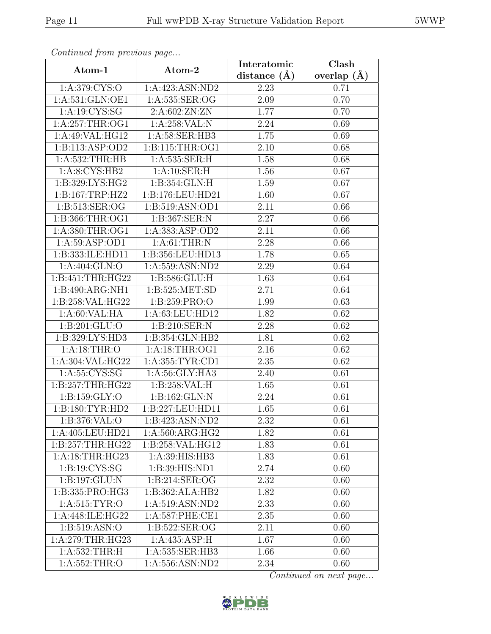| Continued from previous page         |                                      | Interatomic      | $\overline{\text{Clash}}$ |
|--------------------------------------|--------------------------------------|------------------|---------------------------|
| Atom-1                               | Atom-2                               | distance $(\AA)$ | overlap $(\AA)$           |
| 1:A:379:CYS:O                        | 1:A:423:ASN:ND2                      | 2.23             | 0.71                      |
| 1: A:531: GLN:OE1                    | 1: A: 535: SER: OG                   | 2.09             | 0.70                      |
| 1:A:19:CYS:SG                        | 2: A:602:ZN:ZN                       | 1.77             | 0.70                      |
| 1: A:257:THR:OG1                     | 1:A:258:VAL:N                        | 2.24             | 0.69                      |
| 1:A:49:VAL:HG12                      | 1: A:58: SER:HB3                     | 1.75             | 0.69                      |
| 1:B:113:ASP:OD2                      | 1: B: 115: THR: OG1                  | 2.10             | 0.68                      |
| 1: A:532:THR:HB                      | 1:A:535:SER:H                        | 1.58             | 0.68                      |
| 1: A:8: CYS:HB2                      | 1:A:10:SER:H                         | 1.56             | 0.67                      |
| 1:B:329:LYS:HG2                      | 1:B:354:GLN:H                        | 1.59             | 0.67                      |
| 1: B: 167: TRP: HZ2                  | 1:B:176:LEU:HD21                     | 1.60             | 0.67                      |
| 1:B:513:SER:OG                       | 1:B:519:ASN:OD1                      | 2.11             | 0.66                      |
| 1:B:366:THR:OG1                      | 1: B: 367: SER: N                    | 2.27             | 0.66                      |
| 1:A:380:THR:OG1                      | 1:A:383:ASP:OD2                      | 2.11             | 0.66                      |
| 1: A:59: ASP:OD1                     | 1: A:61:THR:N                        | 2.28             | 0.66                      |
| 1:B:333:ILE:HD11                     | 1:B:356:LEU:HD13                     | 1.78             | 0.65                      |
| 1:A:404:GLN:O                        | 1: A: 559: ASN: ND2                  | 2.29             | 0.64                      |
| 1:B:451:THR:HG22                     | 1:B:586:GLU:H                        | 1.63             | 0.64                      |
| 1:B:490:ARG:NH1                      | 1:B:525:MET:SD                       | 2.71             | 0.64                      |
| 1:B:258:VAL:HG22                     | 1:B:259:PRO:O                        | 1.99             | 0.63                      |
| 1: A:60: VAL:HA                      | 1:A:63:LEU:HD12                      | 1.82             | 0.62                      |
| 1:B:201:GLU:O                        | 1:B:210:SER:N                        | 2.28             | 0.62                      |
| 1:B:329:LYS:HD3                      | 1:B:354:GLN:HB2                      | 1.81             | 0.62                      |
| 1: A:18:THR:O                        | 1:A:18:THR:OG1                       | 2.16             | 0.62                      |
| 1:A:304:VAL:HG22                     | 1: A: 355: TYR: CD1                  | 2.35             | 0.62                      |
| 1: A: 55: CYS: SG                    | 1:A:56:GLY:HA3                       | 2.40             | 0.61                      |
| 1:B:257:THR:HG22                     | 1: B:258:VAL:H                       | 1.65             | 0.61                      |
| 1:B:159:GLY:O                        | 1:B:162:GLN:N                        | 2.24             | 0.61                      |
| 1:B:180:TYR:HD2                      | 1:B:227:LEU:HD11                     | 1.65             | 0.61                      |
| 1: B:376: VAL:O                      | 1:B:423:ASN:ND2                      | 2.32             | 0.61                      |
| 1:A:405:LEU:HD21                     | 1: A:560: ARG: HG2                   | 1.82             | 0.61                      |
| 1:B:257:THR:HG22                     | 1:B:258:VAL:HG12                     | 1.83             | 0.61                      |
| 1:A:18:THR:HG23                      | 1: A:39: HIS: HB3                    | 1.83             | 0.61                      |
| $1: B: 19: \overline{\text{CYS:SG}}$ | $1:B:39:HIS:\overline{ND1}$          | 2.74             | 0.60                      |
| 1:B:197:GLU:N                        | $1: B:214: \overline{\text{SER}:OG}$ | 2.32             | 0.60                      |
| 1:B:335:PRO:HG3                      | 1:B:362:ALA:HB2                      | 1.82             | 0.60                      |
| 1: A:515: TYR:O                      | 1:A:519:ASN:ND2                      | 2.33             | 0.60                      |
| 1:A:448:ILE:HG22                     | 1: A:587:PHE:CE1                     | 2.35             | 0.60                      |
| 1:B:519:ASN:O                        | 1:B:522:SER:OG                       | 2.11             | 0.60                      |
| 1:A:279:THR:HG23                     | 1: A:435: ASP:H                      | 1.67             | 0.60                      |
| 1: A:532:THR:H                       | 1:A:535:SER:HB3                      | 1.66             | 0.60                      |
| 1:A:552:THR:O                        | 1:A:556:ASN:ND2                      | 2.34             | 0.60                      |

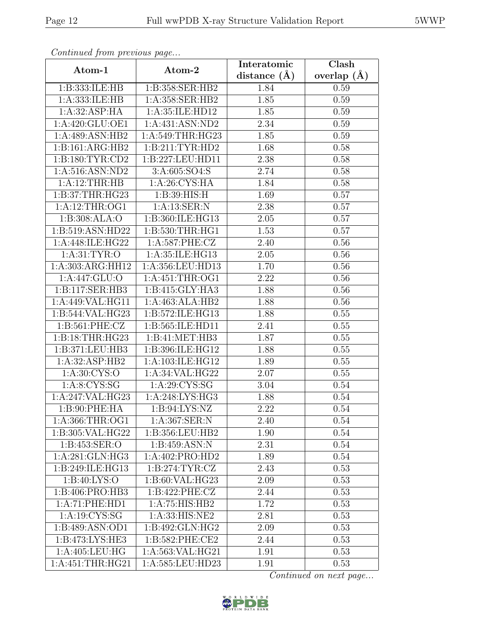| Commaca jibin previous page           |                    | Interatomic    | Clash         |
|---------------------------------------|--------------------|----------------|---------------|
| $\boldsymbol{\mathrm{Atom}\text{-}1}$ | Atom-2             | distance $(A)$ | overlap $(A)$ |
| 1:B:333:ILE:HB                        | 1:B:358:SER:HB2    | 1.84           | 0.59          |
| 1:A:333:ILE:HB                        | 1:A:358:SER:HB2    | 1.85           | 0.59          |
| 1:A:32:ASP:HA                         | 1: A:35: ILE: HD12 | 1.85           | 0.59          |
| 1:A:420:GLU:OE1                       | 1:A:431:ASN:ND2    | 2.34           | 0.59          |
| 1:A:489:ASN:HB2                       | 1: A:549:THR:HG23  | 1.85           | 0.59          |
| 1:B:161:ARG:HB2                       | 1:B:211:TYR:HD2    | 1.68           | 0.58          |
| 1: B: 180: TYR: CD2                   | 1:B:227:LEU:HD11   | 2.38           | 0.58          |
| 1: A:516: ASN: ND2                    | 3:A:605:SO4:S      | 2.74           | 0.58          |
| 1:A:12:THR:HB                         | 1: A:26: CYS: HA   | 1.84           | 0.58          |
| 1: B:37:THR:HG23                      | 1:B:39:HIS:H       | 1.69           | 0.57          |
| 1:A:12:THR:OG1                        | 1: A: 13: SER: N   | 2.38           | 0.57          |
| 1:B:308:ALA:O                         | 1:B:360:ILE:HG13   | 2.05           | 0.57          |
| 1:B:519:ASN:HD22                      | 1:B:530:THR:HG1    | 1.53           | 0.57          |
| 1:A:448:ILE:HG22                      | 1:A:587:PHE:CZ     | 2.40           | 0.56          |
| 1: A:31: TYR:O                        | 1:A:35:ILE:HG13    | 2.05           | 0.56          |
| 1:A:303:ARG:HH12                      | 1:A:356:LEU:HD13   | 1.70           | 0.56          |
| 1: A:447: GLU:O                       | 1: A:451:THR:OG1   | 2.22           | 0.56          |
| 1:B:117:SER:HB3                       | 1: B:415: GLY: HA3 | 1.88           | 0.56          |
| 1:A:449:VAL:HG11                      | 1:A:463:ALA:HB2    | 1.88           | 0.56          |
| 1:B:544:VAL:HG23                      | 1:B:572:ILE:HG13   | 1.88           | 0.55          |
| 1:B:561:PHE:CZ                        | 1:B:565:ILE:HD11   | 2.41           | 0.55          |
| 1: B: 18: THR: HG23                   | 1:B:41:MET:HB3     | 1.87           | 0.55          |
| 1:B:371:LEU:HB3                       | 1:B:396:ILE:HG12   | 1.88           | 0.55          |
| 1:A:32:ASP:HB2                        | 1:A:103:ILE:HG12   | 1.89           | 0.55          |
| 1: A:30: CYS:O                        | 1:A:34:VAL:HG22    | 2.07           | 0.55          |
| 1: A:8:CYS:SG                         | 1: A:29: CYS:SG    | 3.04           | 0.54          |
| 1:A:247:VAL:HG23                      | 1: A:248: LYS: HG3 | 1.88           | 0.54          |
| 1:B:90:PHE:HA                         | 1: B:94: LYS: NZ   | 2.22           | 0.54          |
| 1: A:366:THR:OG1                      | 1:A:367:SER:N      | 2.40           | 0.54          |
| 1:B:305:VAL:HG22                      | 1:B:356:LEU:HB2    | 1.90           | 0.54          |
| 1:B:453:SER:O                         | 1:B:459:ASN:N      | 2.31           | 0.54          |
| 1: A:281: GLN: HG3                    | 1:A:402:PRO:HD2    | 1.89           | 0.54          |
| 1:B:249:ILE:HG13                      | 1: B: 274: TYR: CZ | 2.43           | 0.53          |
| 1: B:40: LYS:O                        | 1:B:60:VAL:HG23    | 2.09           | 0.53          |
| 1:B:406:PRO:HB3                       | 1:B:422:PHE:CZ     | 2.44           | 0.53          |
| 1:A:71:PHE:HD1                        | 1:A:75:HIS:HB2     | 1.72           | 0.53          |
| 1:A:19:CYS:SG                         | 1:A:33:HIS:NE2     | 2.81           | 0.53          |
| 1:B:489:ASN:OD1                       | 1:B:492:GLN:HG2    | 2.09           | 0.53          |
| 1:B:473:LYS:HE3                       | 1:B:582:PHE:CE2    | 2.44           | 0.53          |
| 1:A:405:LEU:HG                        | 1:A:563:VAL:HG21   | 1.91           | 0.53          |
| 1: A:451:THR:HG21                     | 1:A:585:LEU:HD23   | 1.91           | 0.53          |

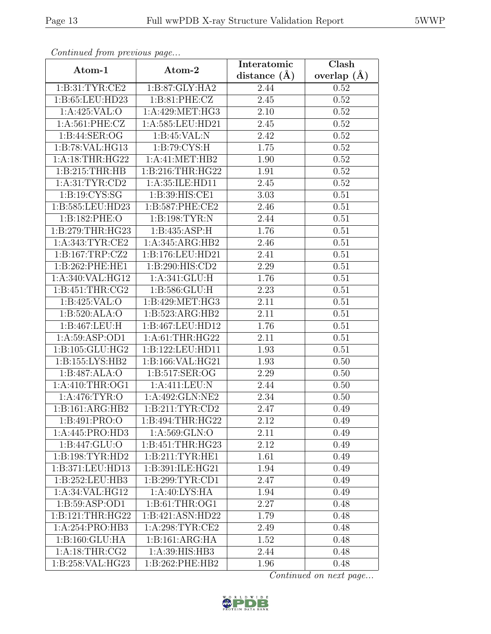| Continued from previous page |                      | Interatomic       | $\overline{\text{Clash}}$ |
|------------------------------|----------------------|-------------------|---------------------------|
| Atom-1                       | Atom-2               | distance $(A)$    | overlap $(A)$             |
| 1: B:31: TYR: CE2            | 1:B:87:GLY:HA2       | 2.44              | 0.52                      |
| 1:B:65:LEU:HD23              | 1: B:81: PHE: CZ     | 2.45              | 0.52                      |
| 1:A:425:VAL:O                | 1:A:429:MET:HG3      | 2.10              | 0.52                      |
| 1: A:561: PHE: CZ            | 1:A:585:LEU:HD21     | 2.45              | 0.52                      |
| 1:B:44:SER:OG                | 1:B:45:VAL:N         | 2.42              | 0.52                      |
| 1:B:78:VAL:HG13              | 1: B:79: CYS:H       | 1.75              | 0.52                      |
| 1: A:18:THR:HG22             | 1: A: 41: MET: HB2   | 1.90              | 0.52                      |
| 1: B:215:THR:HB              | 1: B:216:THR:HG22    | 1.91              | 0.52                      |
| 1: A:31: TYR: CD2            | 1:A:35:ILE:HD11      | 2.45              | 0.52                      |
| 1:B:19:CYS:SG                | 1:B:39:HIS:CE1       | 3.03              | 0.51                      |
| 1:B:585:LEU:HD23             | 1: B:587: PHE:CE2    | 2.46              | 0.51                      |
| 1:B:182:PHE:O                | 1: B: 198: TYR: N    | 2.44              | 0.51                      |
| 1:B:279:THR:HG23             | 1:B:435:ASP:H        | 1.76              | 0.51                      |
| 1: A:343: TYR: CE2           | 1:A:345:ARG:HB2      | 2.46              | 0.51                      |
| 1:B:167:TRP:CZ2              | 1:B:176:LEU:HD21     | 2.41              | 0.51                      |
| 1:B:262:PHE:HE1              | 1:B:290:HIS:CD2      | 2.29              | 0.51                      |
| 1:A:340:VAL:HG12             | 1:A:341:GLU:H        | 1.76              | 0.51                      |
| 1: B: 451: THR: CG2          | 1:B:586:GLU:H        | 2.23              | 0.51                      |
| 1:B:425:VAL:O                | 1:B:429:MET:HG3      | 2.11              | 0.51                      |
| 1:B:520:ALA:O                | 1:B:523:ARG:HB2      | 2.11              | 0.51                      |
| 1:B:467:LEU:H                | 1:B:467:LEU:HD12     | 1.76              | 0.51                      |
| 1:A:59:ASP:OD1               | 1: A:61:THR:HG22     | 2.11              | 0.51                      |
| 1:B:105:GLU:HG2              | 1:B:122:LEU:HD11     | 1.93              | 0.51                      |
| 1:B:155:LYS:HB2              | 1:B:166:VAL:HG21     | $\overline{1}.93$ | 0.50                      |
| 1:B:487:ALA:O                | 1:B:517:SER:OG       | 2.29              | 0.50                      |
| 1: A:410:THR:OG1             | 1:A:411:LEU:N        | 2.44              | 0.50                      |
| 1:A:476:TYR:O                | 1:A:492:GLN:NE2      | 2.34              | 0.50                      |
| 1:B:161:ARG:HB2              | 1: B:211: TYR: CD2   | 2.47              | 0.49                      |
| 1:B:491:PRO:O                | 1:B:494:THR:HG22     | 2.12              | 0.49                      |
| 1:A:445:PRO:HD3              | 1: A:569: GLN:O      | 2.11              | 0.49                      |
| 1: B: 447: GLU: O            | 1: B: 451: THR: HG23 | 2.12              | 0.49                      |
| 1:B:198:TYR:HD2              | 1:B:211:TYR:HE1      | 1.61              | 0.49                      |
| 1:B:371:LEU:HD13             | 1:B:391:ILE:HG21     | 1.94              | 0.49                      |
| 1:B:252:LEU:HB3              | 1:B:299:TYR:CD1      | 2.47              | 0.49                      |
| 1: A:34: VAL: HG12           | 1: A:40: LYS: HA     | 1.94              | 0.49                      |
| 1: B:59: ASP:OD1             | 1: B: 61: THR: OG1   | 2.27              | 0.48                      |
| 1:B:121:THR:HG22             | 1:B:421:ASN:HD22     | 1.79              | 0.48                      |
| 1:A:254:PRO:HB3              | 1: A:298:TYR:CE2     | 2.49              | 0.48                      |
| 1:B:160:GLU:HA               | 1:B:161:ARG:HA       | 1.52              | 0.48                      |
| 1: A:18:THR:CG2              | 1:A:39:HIS:HB3       | 2.44              | 0.48                      |
| 1:B:258:VAL:HG23             | 1:B:262:PHE:HB2      | 1.96              | 0.48                      |

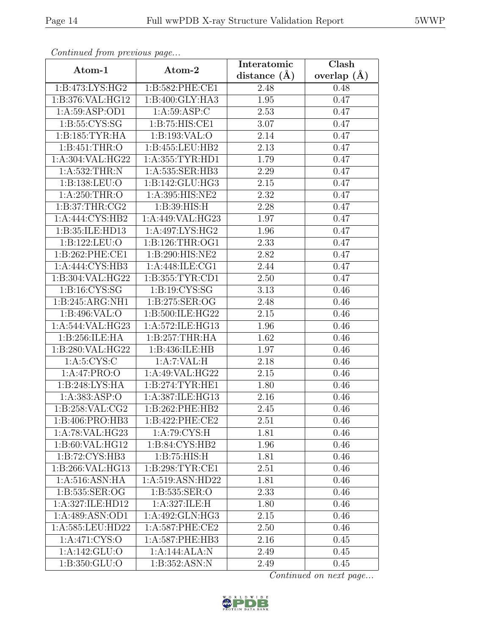| Continuea from previous page |                               | Interatomic       | Clash           |
|------------------------------|-------------------------------|-------------------|-----------------|
| Atom-1                       | Atom-2                        | distance $(\AA)$  | overlap $(\AA)$ |
| 1:B:473:LYS:HG2              | 1:B:582:PHE:CE1               | 2.48              | 0.48            |
| 1:B:376:VAL:HG12             | 1:B:400:GLY:HA3               | 1.95              | 0.47            |
| 1: A:59: ASP:OD1             | 1: A:59: ASP:C                | 2.53              | 0.47            |
| 1:B:55:CYS:SG                | $1: B:75: \overline{HIS:CE1}$ | 3.07              | 0.47            |
| 1:B:185:TYR:HA               | 1:B:193:VAL:O                 | 2.14              | 0.47            |
| 1:B:451:THR:O                | 1:B:455:LEU:HB2               | 2.13              | 0.47            |
| 1:A:304:VAL:HG22             | 1:A:355:TYR:HD1               | 1.79              | 0.47            |
| 1: A:532:THR:N               | 1:A:535:SER:HB3               | 2.29              | 0.47            |
| 1:B:138:LEU:O                | 1:B:142:GLU:HG3               | 2.15              | 0.47            |
| 1: A:250:THR:O               | 1:A:395:HIS:NE2               | 2.32              | 0.47            |
| 1: B:37:THR:CG2              | 1: B:39: HIS:H                | 2.28              | 0.47            |
| 1:A:444:CYS:HB2              | 1:A:449:VAL:HG23              | 1.97              | 0.47            |
| 1:B:35:ILE:HD13              | 1:A:497:LYS:HG2               | 1.96              | 0.47            |
| 1:B:122:LEU:O                | 1:B:126:THR:OG1               | 2.33              | 0.47            |
| 1:B:262:PHE:CE1              | 1:B:290:HIS:NE2               | 2.82              | 0.47            |
| 1:A:444:CYS:HB3              | 1: A:448: ILE: CG1            | 2.44              | 0.47            |
| 1:B:304:VAL:HG22             | 1:B:355:TYR:CD1               | 2.50              | 0.47            |
| 1: B: 16: CYS: SG            | 1: B: 19: CYS: SG             | 3.13              | 0.46            |
| 1:B:245:ARG:NH1              | 1:B:275:SER:OG                | 2.48              | 0.46            |
| 1: B:496: VAL:O              | 1:B:500:ILE:HG22              | 2.15              | 0.46            |
| 1:A:544:VAL:HG23             | 1:A:572:ILE:HG13              | 1.96              | 0.46            |
| 1:B:256:ILE:HA               | 1:B:257:THR:HA                | 1.62              | 0.46            |
| 1:B:280:VAL:HG22             | 1:B:436:ILE:HB                | 1.97              | 0.46            |
| 1: A:5: CYS:C                | 1:A:7:VAL:H                   | 2.18              | 0.46            |
| 1:A:47:PRO:O                 | 1:A:49:VAL:HG22               | 2.15              | 0.46            |
| 1:B:248:LYS:HA               | 1: B:274:TYR:HE1              | 1.80              | 0.46            |
| 1:A:383:ASP:O                | 1:A:387:ILE:HG13              | 2.16              | 0.46            |
| 1:B:258:VAL:CG2              | 1:B:262:PHE:HB2               | 2.45              | 0.46            |
| 1:B:406:PRO:HB3              | 1:B:422:PHE:CE2               | 2.51              | 0.46            |
| 1:A:78:VAL:HG23              | 1: A:79: CYS:H                | 1.81              | 0.46            |
| 1: B:60: VAL: HG12           | 1: B:84: CYS:HB2              | 1.96              | 0.46            |
| 1: B: 72: CYS: HB3           | 1: B:75: HIS:H                | 1.81              | 0.46            |
| 1:B:266:VAL:HG13             | 1: B:298: TYR: CE1            | $2.5\overline{1}$ | 0.46            |
| 1:A:516:ASN:HA               | 1:A:519:ASN:HD22              | 1.81              | 0.46            |
| 1:B:535:SER:OG               | 1:B:535:SER:O                 | 2.33              | 0.46            |
| 1:A:327:ILE:HD12             | 1:A:327:ILE:H                 | 1.80              | 0.46            |
| 1:A:489:ASN:OD1              | 1:A:492:GLN:H <sub>G3</sub>   | 2.15              | 0.46            |
| 1:A:585:LEU:HD22             | 1:A:587:PHE:CE2               | 2.50              | 0.46            |
| 1:A:471:CYS:O                | 1:A:587:PHE:HB3               | 2.16              | 0.45            |
| 1:A:142:GLU:O                | 1:A:144:ALA:N                 | 2.49              | 0.45            |
| 1:B:350:GLU:O                | 1: B: 352: ASN: N             | 2.49              | 0.45            |

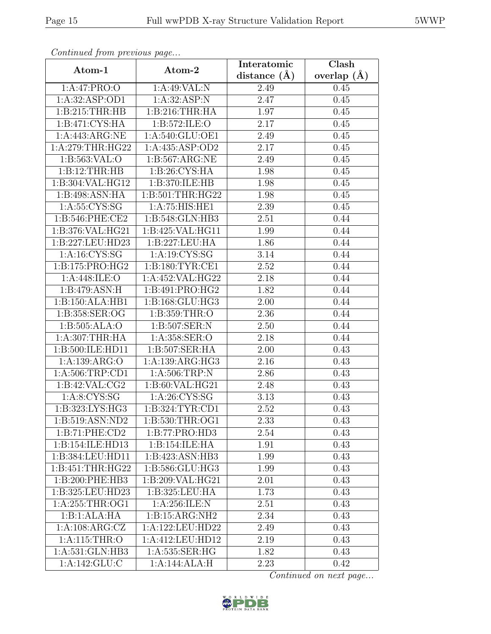| Continua from previous page |                  | Interatomic      | $\overline{\text{Clash}}$ |
|-----------------------------|------------------|------------------|---------------------------|
| Atom-1                      | Atom-2           | distance $(\AA)$ | overlap $(\AA)$           |
| 1:A:47:PRO:O                | 1:A:49:VAL:N     | 2.49             | 0.45                      |
| 1:A:32:ASP:OD1              | 1: A:32: ASP:N   | 2.47             | 0.45                      |
| 1: B:215:THR:HB             | 1: B:216:THR:HA  | 1.97             | 0.45                      |
| 1: B:471: CYS: HA           | 1:B:572:ILE:O    | 2.17             | 0.45                      |
| 1:A:443:ARG:NE              | 1:A:540:GLU:OE1  | 2.49             | 0.45                      |
| 1: A:279:THR:HG22           | 1:A:435:ASP:OD2  | 2.17             | 0.45                      |
| 1:B:563:VAL:O               | 1:B:567:ARG:NE   | 2.49             | 0.45                      |
| 1:B:12:THR:HB               | 1: B:26: CYS:HA  | 1.98             | 0.45                      |
| 1:B:304:VAL:HG12            | 1:B:370:ILE:HB   | 1.98             | 0.45                      |
| 1:B:498:ASN:HA              | 1:B:501:THR:HG22 | 1.98             | 0.45                      |
| 1: A: 55: CYS: SG           | 1:A:75:HIS:HE1   | 2.39             | 0.45                      |
| 1:B:546:PHE:CE2             | 1:B:548:GLN:HB3  | 2.51             | 0.44                      |
| 1:B:376:VAL:HG21            | 1:B:425:VAL:HG11 | 1.99             | 0.44                      |
| 1:B:227:LEU:HD23            | 1:B:227:LEU:HA   | 1.86             | 0.44                      |
| 1:A:16:CYS:SG               | 1:A:19:CYS:SG    | 3.14             | 0.44                      |
| 1:B:175:PRO:HG2             | 1:B:180:TYR:CE1  | 2.52             | 0.44                      |
| 1:A:448:ILE:O               | 1:A:452:VAL:HG22 | 2.18             | 0.44                      |
| 1: B:479: ASN:H             | 1:B:491:PRO:HG2  | 1.82             | 0.44                      |
| 1:B:150:ALA:HB1             | 1:B:168:GLU:HG3  | 2.00             | 0.44                      |
| 1:B:358:SER:OG              | 1: B: 359: THR:O | 2.36             | 0.44                      |
| 1:B:505:ALA:O               | 1:B:507:SER:N    | 2.50             | 0.44                      |
| 1:A:307:THR:HA              | 1:A:358:SER:O    | 2.18             | 0.44                      |
| 1:B:500:ILE:HD11            | 1:B:507:SER:HA   | $2.00\,$         | 0.43                      |
| 1:A:139:ARG:O               | 1:A:139:ARG:HG3  | 2.16             | 0.43                      |
| 1: A:506:TRP:CD1            | 1: A:506:TRP:N   | 2.86             | 0.43                      |
| 1: B:42: VAL: CG2           | 1:B:60:VAL:HG21  | 2.48             | 0.43                      |
| 1: A:8:CYS:SG               | 1: A:26: CYS:SG  | 3.13             | 0.43                      |
| 1:B:323:LYS:HG3             | 1:B:324:TYR:CD1  | 2.52             | 0.43                      |
| 1:B:519:ASN:ND2             | 1:B:530:THR:OG1  | 2.33             | 0.43                      |
| 1:B:71:PHE:CD2              | 1:B:77:PRO:HD3   | 2.54             | 0.43                      |
| 1:B:154:ILE:HD13            | 1:B:154:ILE:HA   | 1.91             | 0.43                      |
| 1:B:384:LEU:HD11            | 1:B:423:ASN:HB3  | 1.99             | 0.43                      |
| 1:B:451:THR:HG22            | 1:B:586:GLU:HG3  | 1.99             | 0.43                      |
| 1:B:200:PHE:HB3             | 1:B:209:VAL:HG21 | 2.01             | 0.43                      |
| 1:B:325:LEU:HD23            | 1:B:325:LEU:HA   | 1.73             | 0.43                      |
| 1: A:255:THR:OG1            | 1: A:256: ILE:N  | 2.51             | 0.43                      |
| 1:B:1:ALA:HA                | 1:B:15:ARG:NH2   | 2.34             | 0.43                      |
| 1:A:108:ARG:CZ              | 1:A:122:LEU:HD22 | 2.49             | 0.43                      |
| 1:A:115:THR:O               | 1:A:412:LEU:HD12 | 2.19             | 0.43                      |
| 1:A:531:GLN:HB3             | 1:A:535:SER:HG   | 1.82             | 0.43                      |
| 1:A:142:GLU:C               | 1:A:144:ALA:H    | 2.23             | 0.42                      |

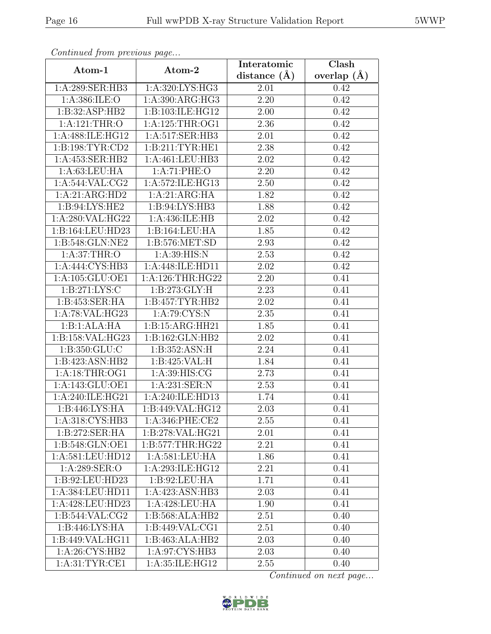| Continuea from previous page |                               | Interatomic    | Clash           |
|------------------------------|-------------------------------|----------------|-----------------|
| Atom-1                       | Atom-2                        | distance $(A)$ | overlap $(\AA)$ |
| 1:A:289:SER:HB3              | 1:A:320:LYS:HG3               | 2.01           | 0.42            |
| 1:A:386:ILE:O                | 1:A:390:ARG:HG3               | 2.20           | 0.42            |
| 1:B:32:ASP:HB2               | 1:B:103:ILE:HG12              | 2.00           | 0.42            |
| 1:A:121:THR:O                | 1:A:125:THR:OG1               | 2.36           | 0.42            |
| 1:A:488:ILE:HG12             | 1:A:517:SER:HB3               | 2.01           | 0.42            |
| 1:B:198:TYR:CD2              | 1:B:211:TYR:HE1               | 2.38           | 0.42            |
| 1:A:453:SER:HB2              | 1:A:461:LEU:HB3               | 2.02           | 0.42            |
| 1: A:63:LEU:HA               | 1: A:71: PHE:O                | 2.20           | 0.42            |
| 1: A:544: VAL: CG2           | 1:A:572:ILE:HG13              | 2.50           | 0.42            |
| 1:A:21:ARG:HD2               | 1:A:21:ARG:HA                 | 1.82           | 0.42            |
| 1:B:94:LYS:HE2               | 1: B:94: LYS: HB3             | 1.88           | 0.42            |
| 1:A:280:VAL:HG22             | 1:A:436:ILE:HB                | 2.02           | 0.42            |
| 1:B:164:LEU:HD23             | 1:B:164:LEU:HA                | 1.85           | 0.42            |
| 1:B:548:GLN:NE2              | 1:B:576:MET:SD                | 2.93           | 0.42            |
| 1: A:37:THR:O                | 1: A:39:HIS:N                 | 2.53           | 0.42            |
| 1:A:444:CYS:HB3              | 1:A:448:ILE:HD11              | 2.02           | 0.42            |
| 1:A:105:GLU:OE1              | 1: A:126:THR:HG22             | 2.20           | 0.41            |
| 1: B:271: LYS:C              | 1:B:273:GLY:H                 | 2.23           | 0.41            |
| 1:B:453:SER:HA               | 1:B:457:TYR:HB2               | 2.02           | 0.41            |
| 1:A:78:VAL:HG23              | 1: A:79: CYS:N                | 2.35           | 0.41            |
| 1:B:1:ALA:HA                 | 1:B:15:ARG:HH21               | 1.85           | 0.41            |
| 1:B:158:VAL:HG23             | 1:B:162:GLN:HB2               | 2.02           | 0.41            |
| 1:B:350:GLU:C                | 1:B:352:ASN:H                 | 2.24           | 0.41            |
| 1:B:423:ASN:HB2              | 1:B:425:VAL:H                 | 1.84           | 0.41            |
| 1: A:18:THR:OG1              | 1:A:39:HIS:CG                 | 2.73           | 0.41            |
| 1:A:143:GLU:OE1              | 1:A:231:SER:N                 | 2.53           | 0.41            |
| 1:A:240:ILE:HG21             | 1:A:240:ILE:HD13              | 1.74           | 0.41            |
| 1:B:446:LYS:HA               | 1:B:449:VAL:HG12              | 2.03           | 0.41            |
| 1:A:318:CYS:HB3              | 1:A:346:PHE:CE2               | 2.55           | 0.41            |
| 1:B:272:SER:HA               | 1:B:278:VAL:HG21              | 2.01           | 0.41            |
| 1:B:548:GLN:OE1              | 1: B: 577: THR: HG22          | 2.21           | 0.41            |
| 1:A:581:LEU:HD12             | $1: A:581:LEU: \overline{HA}$ | 1.86           | 0.41            |
| 1: A:289: SER: O             | 1:A:293:ILE:HG12              | 2.21           | 0.41            |
| 1:B:92:LEU:HD23              | 1:B:92:LEU:HA                 | 1.71           | 0.41            |
| 1:A:384:LEU:HD11             | 1:A:423:ASN:HB3               | 2.03           | 0.41            |
| 1:A:428:LEU:HD23             | 1:A:428:LEU:HA                | 1.90           | 0.41            |
| 1: B:544: VAL: CG2           | 1:B:568:ALA:HB2               | 2.51           | 0.40            |
| 1:B:446:LYS:HA               | 1:B:449:VAL:CG1               | 2.51           | 0.40            |
| 1:B:449:VAL:HG11             | 1:B:463:ALA:HB2               | 2.03           | 0.40            |
| 1:A:26:CYS:HB2               | 1:A:97:CYS:HB3                | 2.03           | 0.40            |
| 1: A:31: TYR: CE1            | 1:A:35:ILE:HG12               | 2.55           | 0.40            |

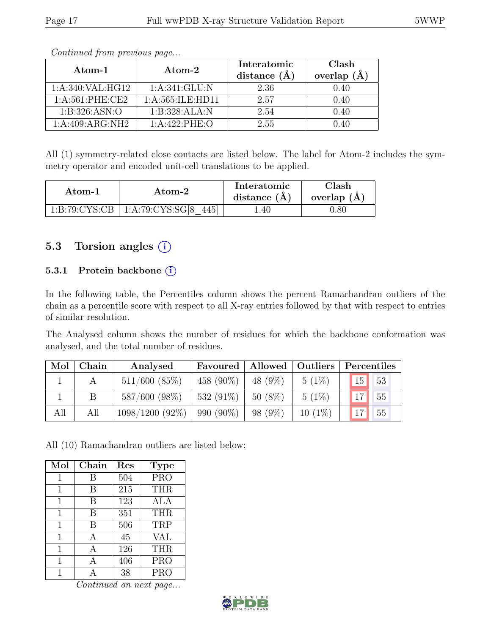| $\rm{Atom-1}$       | Atom-2               | Interatomic<br>distance $(\AA)$ | Clash<br>overlap $(\AA)$ |
|---------------------|----------------------|---------------------------------|--------------------------|
| 1:A:340:VAL:HG12    | 1: A:341: GLU: N     | 2.36                            | 0.40                     |
| $1: A:561:$ PHE:CE2 | 1: A: 565: ILE: HD11 | 2.57                            | 0.40                     |
| 1: B:326: ASN:O     | 1:B:328:ALA:N        | 2.54                            | 0.40                     |
| 1: A:409: ARG:NH2   | 1:A:422:PHE:O        | 2.55                            | 0.40                     |

All (1) symmetry-related close contacts are listed below. The label for Atom-2 includes the symmetry operator and encoded unit-cell translations to be applied.

| Atom-1 | Atom-2                                        |      | Clash<br>overlap $(A)$ |
|--------|-----------------------------------------------|------|------------------------|
|        | $1:B:79:CYS:CB \mid 1:A:79:CYS:SG[8]$<br>4451 | . 40 | ).80                   |

## 5.3 Torsion angles (i)

#### 5.3.1 Protein backbone ①

In the following table, the Percentiles column shows the percent Ramachandran outliers of the chain as a percentile score with respect to all X-ray entries followed by that with respect to entries of similar resolution.

The Analysed column shows the number of residues for which the backbone conformation was analysed, and the total number of residues.

| Mol | ${\bf Chain}$ | Analysed           | Favoured   Allowed   Outliers   Percentiles |           |           |         |
|-----|---------------|--------------------|---------------------------------------------|-----------|-----------|---------|
|     |               | $511/600$ $(85\%)$ | $458(90\%)$                                 | $48(9\%)$ | $5(1\%)$  | 15 53   |
|     |               | $587/600 (98\%)$   | $532(91\%)$                                 | 50 (8%)   | $5(1\%)$  | $17$ 55 |
| All | All           | $1098/1200(92\%)$  | $990 (90\%)$                                | 98 (9%)   | $10(1\%)$ | 17 55   |

All (10) Ramachandran outliers are listed below:

| Mol | Chain | Res | <b>Type</b> |
|-----|-------|-----|-------------|
| 1   | В     | 504 | <b>PRO</b>  |
| 1   | B     | 215 | <b>THR</b>  |
| 1   | В     | 123 | ALA         |
| 1   | B     | 351 | <b>THR</b>  |
| 1   | B     | 506 | TRP         |
| 1   | А     | 45  | <b>VAL</b>  |
| 1   | А     | 126 | <b>THR</b>  |
|     |       | 406 | <b>PRO</b>  |
|     |       | 38  | <b>PRO</b>  |

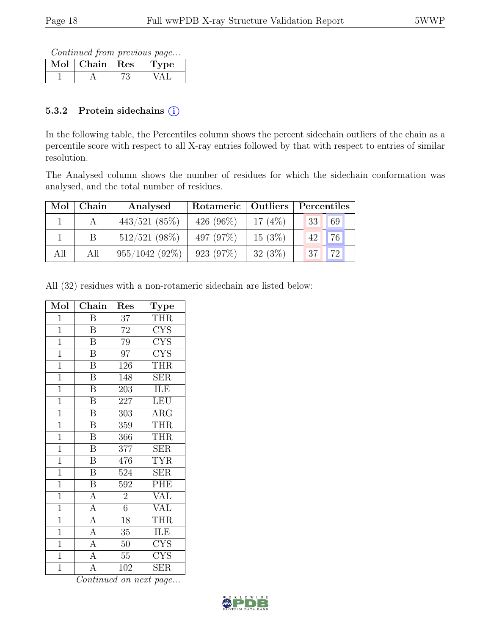Continued from previous page...

| $\overline{\text{Chain}}$   Res | 'De |
|---------------------------------|-----|
|                                 |     |

#### 5.3.2 Protein sidechains (i)

In the following table, the Percentiles column shows the percent sidechain outliers of the chain as a percentile score with respect to all X-ray entries followed by that with respect to entries of similar resolution.

The Analysed column shows the number of residues for which the sidechain conformation was analysed, and the total number of residues.

| Mol | Chain | Analysed         |              | Rotameric   Outliers |                  | Percentiles |  |  |
|-----|-------|------------------|--------------|----------------------|------------------|-------------|--|--|
|     |       | $443/521$ (85%)  | 426 $(96\%)$ | 17 $(4%)$            | 33               | 69          |  |  |
|     |       | $512/521$ (98%)  | 497 (97\%)   | 15(3%)               | 42               | 76          |  |  |
| All | All   | $955/1042(92\%)$ | 923 (97%)    | 32(3%)               | 137 <sub>h</sub> | 72          |  |  |

All (32) residues with a non-rotameric sidechain are listed below:

| Mol            | Chain                   | Res              | <b>Type</b>             |
|----------------|-------------------------|------------------|-------------------------|
| $\overline{1}$ | $\overline{\mathrm{B}}$ | $\overline{37}$  | <b>THR</b>              |
| $\overline{1}$ | $\overline{\mathbf{B}}$ | $\overline{72}$  | $\overline{\text{CYS}}$ |
| $\overline{1}$ | $\overline{\mathrm{B}}$ | 79               | $\overline{\text{CYS}}$ |
| $\overline{1}$ | $\overline{\mathrm{B}}$ | $\overline{97}$  | <b>CYS</b>              |
| $\overline{1}$ | $\overline{\mathrm{B}}$ | $\overline{126}$ | <b>THR</b>              |
| $\overline{1}$ | $\overline{\text{B}}$   | 148              | <b>SER</b>              |
| $\overline{1}$ | $\, {\bf B}$            | 203              | ILE                     |
| $\overline{1}$ | $\overline{\mathbf{B}}$ | 227              | LEU                     |
| $\overline{1}$ | $\overline{B}$          | 303              | $\rm{ARG}$              |
| $\overline{1}$ | $\overline{\mathbf{B}}$ | 359              | <b>THR</b>              |
| $\overline{1}$ | $\overline{\mathbf{B}}$ | 366              | <b>THR</b>              |
| $\overline{1}$ | $\, {\bf B}$            | 377              | <b>SER</b>              |
| $\overline{1}$ | $\overline{\mathbf{B}}$ | 476              | $\overline{\text{TYR}}$ |
| $\overline{1}$ | $\overline{\mathbf{B}}$ | 524              | <b>SER</b>              |
| $\overline{1}$ | $\overline{\mathrm{B}}$ | $\overline{592}$ | PHE                     |
| $\overline{1}$ | $\overline{A}$          | $\overline{2}$   | <b>VAL</b>              |
| $\mathbf{1}$   | $\overline{A}$          | 6                | <b>VAL</b>              |
| $\overline{1}$ | $\overline{A}$          | 18               | <b>THR</b>              |
| $\overline{1}$ | $\overline{A}$          | 35               | ILE                     |
| $\overline{1}$ | $\overline{A}$          | 50               | $\overline{\text{CYS}}$ |
| $\overline{1}$ | $\overline{A}$          | $55\,$           | <b>CYS</b>              |
| $\overline{1}$ | $\overline{\rm A}$      | 102              | SER                     |

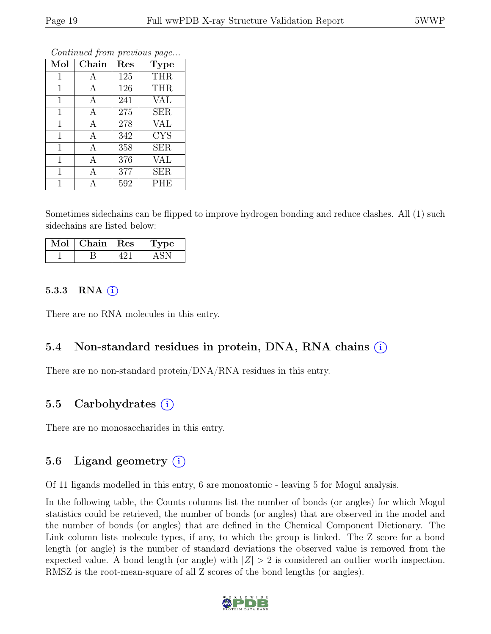| Mol          | Chain | Res | Type       |
|--------------|-------|-----|------------|
| 1            | А     | 125 | <b>THR</b> |
| $\mathbf{1}$ | А     | 126 | <b>THR</b> |
| $\mathbf{1}$ | А     | 241 | <b>VAL</b> |
| $\mathbf{1}$ | A     | 275 | <b>SER</b> |
| 1            | A     | 278 | <b>VAL</b> |
| $\mathbf{1}$ | A     | 342 | <b>CYS</b> |
| $\mathbf{1}$ | A     | 358 | <b>SER</b> |
| 1            | A     | 376 | <b>VAL</b> |
| $\mathbf 1$  | A     | 377 | <b>SER</b> |
| 1            | Δ     | 592 | <b>PHE</b> |

Sometimes sidechains can be flipped to improve hydrogen bonding and reduce clashes. All (1) such sidechains are listed below:

| Mol | Chain   Res | Type |
|-----|-------------|------|
|     |             |      |

#### 5.3.3 RNA  $(i)$

There are no RNA molecules in this entry.

#### 5.4 Non-standard residues in protein, DNA, RNA chains (i)

There are no non-standard protein/DNA/RNA residues in this entry.

#### 5.5 Carbohydrates  $(i)$

There are no monosaccharides in this entry.

#### 5.6 Ligand geometry  $(i)$

Of 11 ligands modelled in this entry, 6 are monoatomic - leaving 5 for Mogul analysis.

In the following table, the Counts columns list the number of bonds (or angles) for which Mogul statistics could be retrieved, the number of bonds (or angles) that are observed in the model and the number of bonds (or angles) that are defined in the Chemical Component Dictionary. The Link column lists molecule types, if any, to which the group is linked. The Z score for a bond length (or angle) is the number of standard deviations the observed value is removed from the expected value. A bond length (or angle) with  $|Z| > 2$  is considered an outlier worth inspection. RMSZ is the root-mean-square of all Z scores of the bond lengths (or angles).

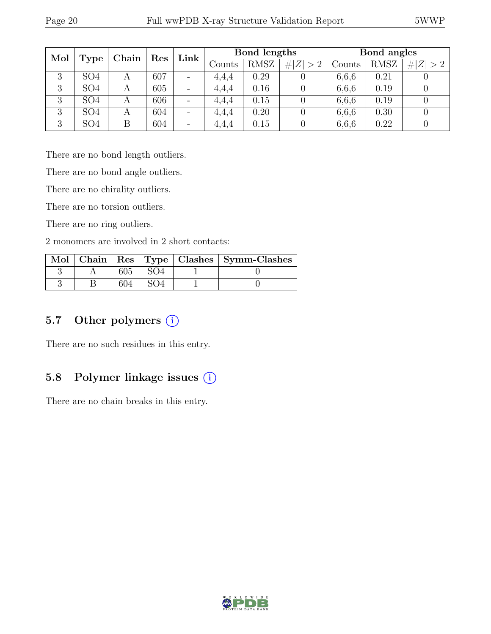| Mol |                 | Chain          | Res | Link                         |        | Bond lengths |         |        | Bond angles |             |
|-----|-----------------|----------------|-----|------------------------------|--------|--------------|---------|--------|-------------|-------------|
|     | <b>Type</b>     |                |     |                              | Counts | <b>RMSZ</b>  | Z   > 2 | Counts | <b>RMSZ</b> | # $ Z  > 2$ |
| 3   | SO <sub>4</sub> |                | 607 | $\overline{\phantom{a}}$     | 4,4,4  | 0.29         |         | 6,6,6  | 0.21        |             |
| 3   | SO <sub>4</sub> | A              | 605 | $\qquad \qquad \blacksquare$ | 4.4.4  | 0.16         |         | 6,6,6  | 0.19        |             |
| 3   | SO <sub>4</sub> | $\overline{A}$ | 606 | $\overline{\phantom{0}}$     | 4.4.4  | 0.15         |         | 6,6,6  | 0.19        |             |
| 3   | SO <sub>4</sub> |                | 604 | $\qquad \qquad \blacksquare$ | 4.4.4  | 0.20         |         | 6,6,6  | 0.30        |             |
| 3   | SO <sub>4</sub> | Β              | 604 | $\overline{\phantom{a}}$     | 4,4,4  | 0.15         |         | 6,6,6  | 0.22        |             |

There are no bond length outliers.

There are no bond angle outliers.

There are no chirality outliers.

There are no torsion outliers.

There are no ring outliers.

2 monomers are involved in 2 short contacts:

|  |  | Mol   Chain   Res   Type   Clashes   Symm-Clashes |
|--|--|---------------------------------------------------|
|  |  |                                                   |
|  |  |                                                   |

## 5.7 Other polymers (i)

There are no such residues in this entry.

#### 5.8 Polymer linkage issues (i)

There are no chain breaks in this entry.

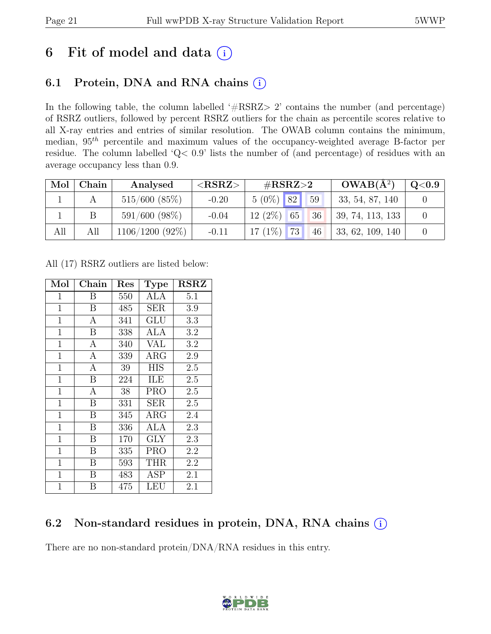# 6 Fit of model and data  $(i)$

## 6.1 Protein, DNA and RNA chains  $(i)$

In the following table, the column labelled ' $\#\text{RSRZ}>2$ ' contains the number (and percentage) of RSRZ outliers, followed by percent RSRZ outliers for the chain as percentile scores relative to all X-ray entries and entries of similar resolution. The OWAB column contains the minimum, median,  $95<sup>th</sup>$  percentile and maximum values of the occupancy-weighted average B-factor per residue. The column labelled 'Q< 0.9' lists the number of (and percentage) of residues with an average occupancy less than 0.9.

|     | Mol   Chain | Analysed         | ${ <\hspace{-1.5pt}{\mathrm{RSRZ}} \hspace{-1.5pt}>}$ | # $RSRZ>2$                     | $OWAB(A^2)$      | $\mathrm{Q}{<}0.9$ |
|-----|-------------|------------------|-------------------------------------------------------|--------------------------------|------------------|--------------------|
|     |             | 515/600(85%)     | $-0.20$                                               | $5(0\%)$ 82<br>59              | 33, 54, 87, 140  |                    |
|     |             | $591/600 (98\%)$ | $-0.04$                                               | $12(2\%)$<br>36<br>65          | 39, 74, 113, 133 |                    |
| All | All         | 1106/1200 (92%)  | $-0.11$                                               | $17(1\%)$<br>$\sqrt{73}$<br>46 | 33, 62, 109, 140 |                    |

All (17) RSRZ outliers are listed below:

| Mol            | Chain            | Res | <b>Type</b> | <b>RSRZ</b> |
|----------------|------------------|-----|-------------|-------------|
| $\mathbf{1}$   | Β                | 550 | <b>ALA</b>  | 5.1         |
| $\mathbf{1}$   | $\mathbf B$      | 485 | <b>SER</b>  | 3.9         |
| $\mathbf{1}$   | $\overline{A}$   | 341 | GLU         | 3.3         |
| $\mathbf{1}$   | B                | 338 | ALA         | 3.2         |
| $\mathbf{1}$   | $\mathbf{A}$     | 340 | VAL         | 3.2         |
| $\mathbf{1}$   | $\mathbf{A}$     | 339 | $\rm{ARG}$  | 2.9         |
| $\mathbf{1}$   | $\mathbf{A}$     | 39  | <b>HIS</b>  | 2.5         |
| $\mathbf{1}$   | $\boldsymbol{B}$ | 224 | ILE         | 2.5         |
| $\mathbf{1}$   | $\mathbf{A}$     | 38  | <b>PRO</b>  | 2.5         |
| $\mathbf{1}$   | B                | 331 | SER         | 2.5         |
| $\mathbf 1$    | B                | 345 | $\rm{ARG}$  | 2.4         |
| $\overline{1}$ | B                | 336 | <b>ALA</b>  | 2.3         |
| $\mathbf{1}$   | $\boldsymbol{B}$ | 170 | GLY         | 2.3         |
| $\mathbf{1}$   | B                | 335 | <b>PRO</b>  | 2.2         |
| $\mathbf{1}$   | B                | 593 | THR         | 2.2         |
| $\mathbf 1$    | B                | 483 | ASP         | 2.1         |
| $\mathbf{1}$   | В                | 475 | LEU         | 2.1         |

## 6.2 Non-standard residues in protein, DNA, RNA chains  $(i)$

There are no non-standard protein/DNA/RNA residues in this entry.